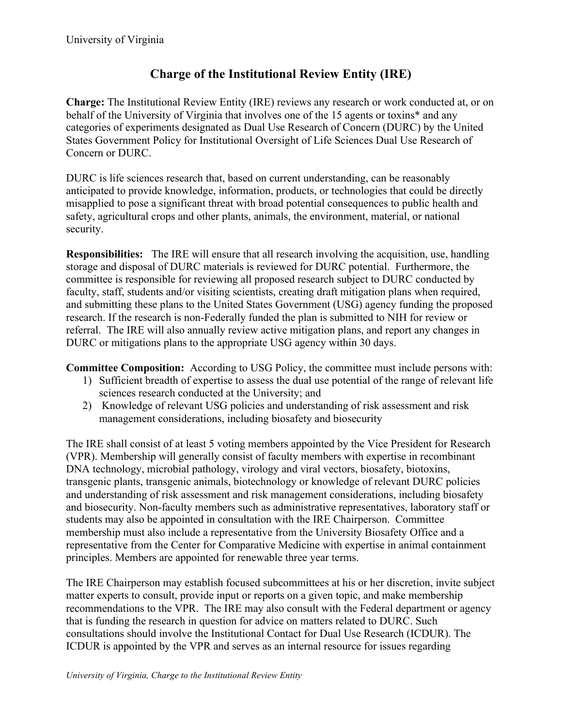## **Charge of the Institutional Review Entity (IRE)**

**Charge:** The Institutional Review Entity (IRE) reviews any research or work conducted at, or on behalf of the University of Virginia that involves one of the 15 agents or toxins\* and any categories of experiments designated as Dual Use Research of Concern (DURC) by the United States Government Policy for Institutional Oversight of Life Sciences Dual Use Research of Concern or DURC.

DURC is life sciences research that, based on current understanding, can be reasonably anticipated to provide knowledge, information, products, or technologies that could be directly misapplied to pose a significant threat with broad potential consequences to public health and safety, agricultural crops and other plants, animals, the environment, material, or national security.

**Responsibilities:** The IRE will ensure that all research involving the acquisition, use, handling storage and disposal of DURC materials is reviewed for DURC potential. Furthermore, the committee is responsible for reviewing all proposed research subject to DURC conducted by faculty, staff, students and/or visiting scientists, creating draft mitigation plans when required, and submitting these plans to the United States Government (USG) agency funding the proposed research. If the research is non-Federally funded the plan is submitted to NIH for review or referral. The IRE will also annually review active mitigation plans, and report any changes in DURC or mitigations plans to the appropriate USG agency within 30 days.

**Committee Composition:** According to USG Policy, the committee must include persons with:

- 1) Sufficient breadth of expertise to assess the dual use potential of the range of relevant life sciences research conducted at the University; and
- 2) Knowledge of relevant USG policies and understanding of risk assessment and risk management considerations, including biosafety and biosecurity

The IRE shall consist of at least 5 voting members appointed by the Vice President for Research (VPR). Membership will generally consist of faculty members with expertise in recombinant DNA technology, microbial pathology, virology and viral vectors, biosafety, biotoxins, transgenic plants, transgenic animals, biotechnology or knowledge of relevant DURC policies and understanding of risk assessment and risk management considerations, including biosafety and biosecurity. Non-faculty members such as administrative representatives, laboratory staff or students may also be appointed in consultation with the IRE Chairperson. Committee membership must also include a representative from the University Biosafety Office and a representative from the Center for Comparative Medicine with expertise in animal containment principles. Members are appointed for renewable three year terms.

The IRE Chairperson may establish focused subcommittees at his or her discretion, invite subject matter experts to consult, provide input or reports on a given topic, and make membership recommendations to the VPR. The IRE may also consult with the Federal department or agency that is funding the research in question for advice on matters related to DURC. Such consultations should involve the Institutional Contact for Dual Use Research (ICDUR). The ICDUR is appointed by the VPR and serves as an internal resource for issues regarding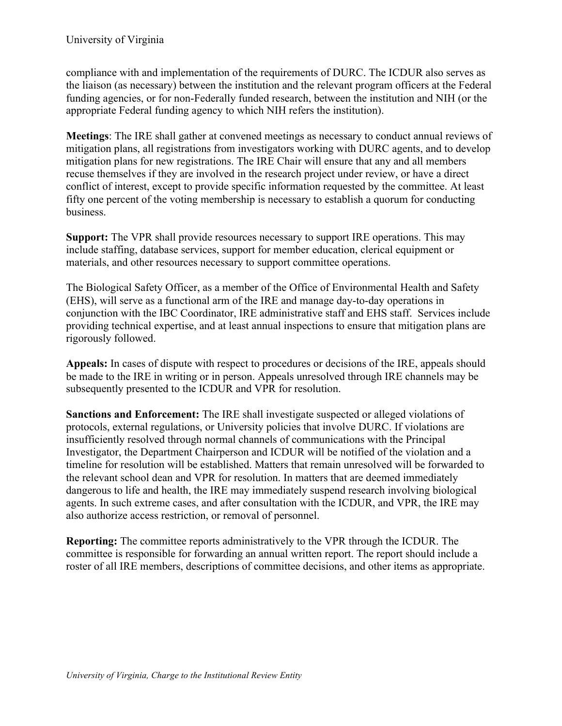compliance with and implementation of the requirements of DURC. The ICDUR also serves as the liaison (as necessary) between the institution and the relevant program officers at the Federal funding agencies, or for non-Federally funded research, between the institution and NIH (or the appropriate Federal funding agency to which NIH refers the institution).

**Meetings**: The IRE shall gather at convened meetings as necessary to conduct annual reviews of mitigation plans, all registrations from investigators working with DURC agents, and to develop mitigation plans for new registrations. The IRE Chair will ensure that any and all members recuse themselves if they are involved in the research project under review, or have a direct conflict of interest, except to provide specific information requested by the committee. At least fifty one percent of the voting membership is necessary to establish a quorum for conducting business.

**Support:** The VPR shall provide resources necessary to support IRE operations. This may include staffing, database services, support for member education, clerical equipment or materials, and other resources necessary to support committee operations.

The Biological Safety Officer, as a member of the Office of Environmental Health and Safety (EHS), will serve as a functional arm of the IRE and manage day-to-day operations in conjunction with the IBC Coordinator, IRE administrative staff and EHS staff. Services include providing technical expertise, and at least annual inspections to ensure that mitigation plans are rigorously followed.

**Appeals:** In cases of dispute with respect to procedures or decisions of the IRE, appeals should be made to the IRE in writing or in person. Appeals unresolved through IRE channels may be subsequently presented to the ICDUR and VPR for resolution.

**Sanctions and Enforcement:** The IRE shall investigate suspected or alleged violations of protocols, external regulations, or University policies that involve DURC. If violations are insufficiently resolved through normal channels of communications with the Principal Investigator, the Department Chairperson and ICDUR will be notified of the violation and a timeline for resolution will be established. Matters that remain unresolved will be forwarded to the relevant school dean and VPR for resolution. In matters that are deemed immediately dangerous to life and health, the IRE may immediately suspend research involving biological agents. In such extreme cases, and after consultation with the ICDUR, and VPR, the IRE may also authorize access restriction, or removal of personnel.

**Reporting:** The committee reports administratively to the VPR through the ICDUR. The committee is responsible for forwarding an annual written report. The report should include a roster of all IRE members, descriptions of committee decisions, and other items as appropriate.